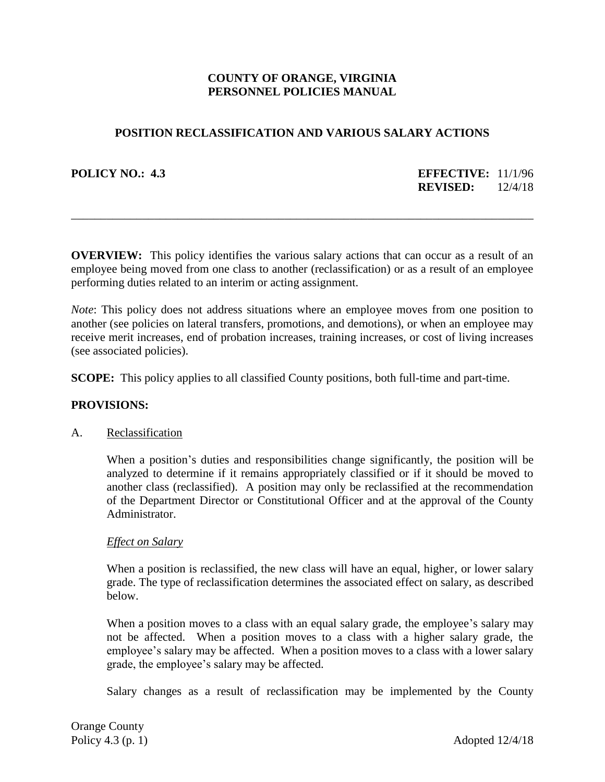# **COUNTY OF ORANGE, VIRGINIA PERSONNEL POLICIES MANUAL**

## **POSITION RECLASSIFICATION AND VARIOUS SALARY ACTIONS**

**POLICY NO.: 4.3 EFFECTIVE:** 11/1/96 **REVISED:** 12/4/18

**OVERVIEW:** This policy identifies the various salary actions that can occur as a result of an employee being moved from one class to another (reclassification) or as a result of an employee performing duties related to an interim or acting assignment.

\_\_\_\_\_\_\_\_\_\_\_\_\_\_\_\_\_\_\_\_\_\_\_\_\_\_\_\_\_\_\_\_\_\_\_\_\_\_\_\_\_\_\_\_\_\_\_\_\_\_\_\_\_\_\_\_\_\_\_\_\_\_\_\_\_\_\_\_\_\_\_\_\_\_\_\_\_\_

*Note*: This policy does not address situations where an employee moves from one position to another (see policies on lateral transfers, promotions, and demotions), or when an employee may receive merit increases, end of probation increases, training increases, or cost of living increases (see associated policies).

**SCOPE:** This policy applies to all classified County positions, both full-time and part-time.

## **PROVISIONS:**

## A. Reclassification

When a position's duties and responsibilities change significantly, the position will be analyzed to determine if it remains appropriately classified or if it should be moved to another class (reclassified). A position may only be reclassified at the recommendation of the Department Director or Constitutional Officer and at the approval of the County Administrator.

## *Effect on Salary*

When a position is reclassified, the new class will have an equal, higher, or lower salary grade. The type of reclassification determines the associated effect on salary, as described below.

When a position moves to a class with an equal salary grade, the employee's salary may not be affected. When a position moves to a class with a higher salary grade, the employee's salary may be affected. When a position moves to a class with a lower salary grade, the employee's salary may be affected.

Salary changes as a result of reclassification may be implemented by the County

Orange County Policy 4.3 (p. 1)  $\Delta$  Adopted 12/4/18